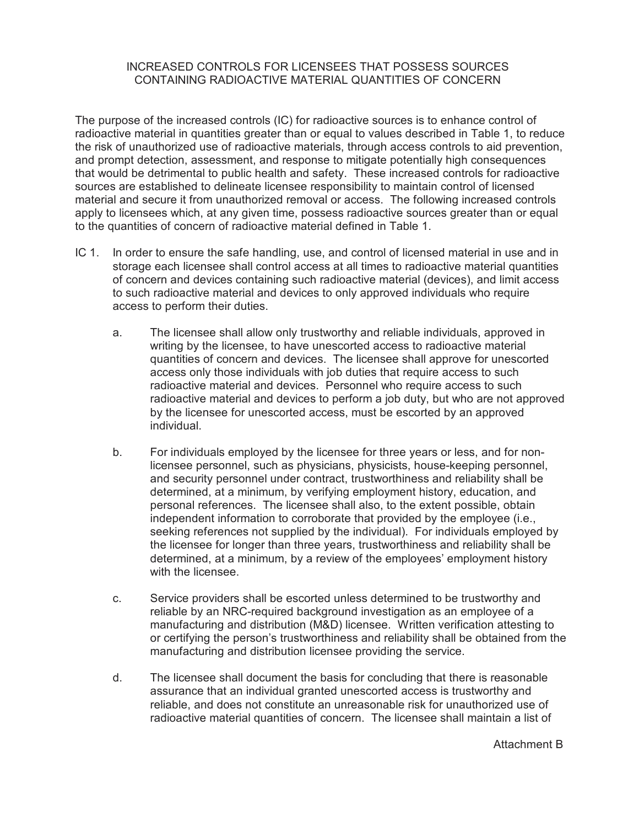## INCREASED CONTROLS FOR LICENSEES THAT POSSESS SOURCES CONTAINING RADIOACTIVE MATERIAL QUANTITIES OF CONCERN

The purpose of the increased controls (IC) for radioactive sources is to enhance control of radioactive material in quantities greater than or equal to values described in Table 1, to reduce the risk of unauthorized use of radioactive materials, through access controls to aid prevention, and prompt detection, assessment, and response to mitigate potentially high consequences that would be detrimental to public health and safety. These increased controls for radioactive sources are established to delineate licensee responsibility to maintain control of licensed material and secure it from unauthorized removal or access. The following increased controls apply to licensees which, at any given time, possess radioactive sources greater than or equal to the quantities of concern of radioactive material defined in Table 1.

- IC 1. In order to ensure the safe handling, use, and control of licensed material in use and in storage each licensee shall control access at all times to radioactive material quantities of concern and devices containing such radioactive material (devices), and limit access to such radioactive material and devices to only approved individuals who require access to perform their duties.
	- a. The licensee shall allow only trustworthy and reliable individuals, approved in writing by the licensee, to have unescorted access to radioactive material quantities of concern and devices. The licensee shall approve for unescorted access only those individuals with job duties that require access to such radioactive material and devices. Personnel who require access to such radioactive material and devices to perform a job duty, but who are not approved by the licensee for unescorted access, must be escorted by an approved individual.
	- b. For individuals employed by the licensee for three years or less, and for nonlicensee personnel, such as physicians, physicists, house-keeping personnel, and security personnel under contract, trustworthiness and reliability shall be determined, at a minimum, by verifying employment history, education, and personal references. The licensee shall also, to the extent possible, obtain independent information to corroborate that provided by the employee (i.e., seeking references not supplied by the individual). For individuals employed by the licensee for longer than three years, trustworthiness and reliability shall be determined, at a minimum, by a review of the employees' employment history with the licensee.
	- c. Service providers shall be escorted unless determined to be trustworthy and reliable by an NRC-required background investigation as an employee of a manufacturing and distribution (M&D) licensee. Written verification attesting to or certifying the person's trustworthiness and reliability shall be obtained from the manufacturing and distribution licensee providing the service.
	- d. The licensee shall document the basis for concluding that there is reasonable assurance that an individual granted unescorted access is trustworthy and reliable, and does not constitute an unreasonable risk for unauthorized use of radioactive material quantities of concern. The licensee shall maintain a list of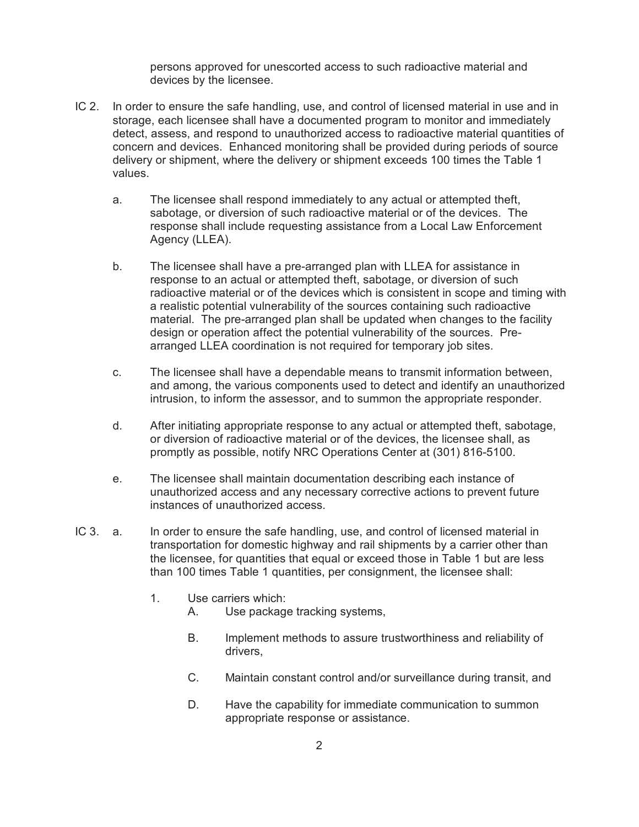persons approved for unescorted access to such radioactive material and devices by the licensee.

- IC 2. In order to ensure the safe handling, use, and control of licensed material in use and in storage, each licensee shall have a documented program to monitor and immediately detect, assess, and respond to unauthorized access to radioactive material quantities of concern and devices. Enhanced monitoring shall be provided during periods of source delivery or shipment, where the delivery or shipment exceeds 100 times the Table 1 values.
	- a. The licensee shall respond immediately to any actual or attempted theft, sabotage, or diversion of such radioactive material or of the devices. The response shall include requesting assistance from a Local Law Enforcement Agency (LLEA).
	- b. The licensee shall have a pre-arranged plan with LLEA for assistance in response to an actual or attempted theft, sabotage, or diversion of such radioactive material or of the devices which is consistent in scope and timing with a realistic potential vulnerability of the sources containing such radioactive material. The pre-arranged plan shall be updated when changes to the facility design or operation affect the potential vulnerability of the sources. Prearranged LLEA coordination is not required for temporary job sites.
	- c. The licensee shall have a dependable means to transmit information between, and among, the various components used to detect and identify an unauthorized intrusion, to inform the assessor, and to summon the appropriate responder.
	- d. After initiating appropriate response to any actual or attempted theft, sabotage, or diversion of radioactive material or of the devices, the licensee shall, as promptly as possible, notify NRC Operations Center at (301) 816-5100.
	- e. The licensee shall maintain documentation describing each instance of unauthorized access and any necessary corrective actions to prevent future instances of unauthorized access.
- IC 3. a. In order to ensure the safe handling, use, and control of licensed material in transportation for domestic highway and rail shipments by a carrier other than the licensee, for quantities that equal or exceed those in Table 1 but are less than 100 times Table 1 quantities, per consignment, the licensee shall:
	- 1. Use carriers which:
		- A. Use package tracking systems,
		- B. Implement methods to assure trustworthiness and reliability of drivers,
		- C. Maintain constant control and/or surveillance during transit, and
		- D. Have the capability for immediate communication to summon appropriate response or assistance.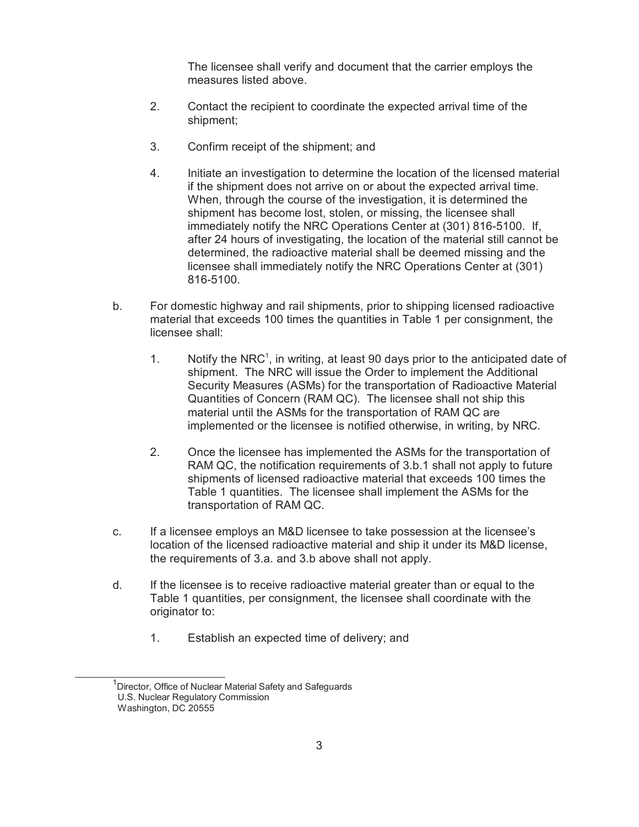The licensee shall verify and document that the carrier employs the measures listed above.

- 2. Contact the recipient to coordinate the expected arrival time of the shipment;
- 3. Confirm receipt of the shipment; and
- 4. Initiate an investigation to determine the location of the licensed material if the shipment does not arrive on or about the expected arrival time. When, through the course of the investigation, it is determined the shipment has become lost, stolen, or missing, the licensee shall immediately notify the NRC Operations Center at (301) 816-5100. If, after 24 hours of investigating, the location of the material still cannot be determined, the radioactive material shall be deemed missing and the licensee shall immediately notify the NRC Operations Center at (301) 816-5100.
- b. For domestic highway and rail shipments, prior to shipping licensed radioactive material that exceeds 100 times the quantities in Table 1 per consignment, the licensee shall:
	- 1. Notify the NRC<sup>1</sup>, in writing, at least 90 days prior to the anticipated date of shipment. The NRC will issue the Order to implement the Additional Security Measures (ASMs) for the transportation of Radioactive Material Quantities of Concern (RAM QC). The licensee shall not ship this material until the ASMs for the transportation of RAM QC are implemented or the licensee is notified otherwise, in writing, by NRC.
	- 2. Once the licensee has implemented the ASMs for the transportation of RAM QC, the notification requirements of 3.b.1 shall not apply to future shipments of licensed radioactive material that exceeds 100 times the Table 1 quantities. The licensee shall implement the ASMs for the transportation of RAM QC.
- c. If a licensee employs an M&D licensee to take possession at the licensee's location of the licensed radioactive material and ship it under its M&D license, the requirements of 3.a. and 3.b above shall not apply.
- d. If the licensee is to receive radioactive material greater than or equal to the Table 1 quantities, per consignment, the licensee shall coordinate with the originator to:
	- 1. Establish an expected time of delivery; and

<sup>&</sup>lt;sup>1</sup> Director, Office of Nuclear Material Safety and Safeguards U.S. Nuclear Regulatory Commission

Washington, DC 20555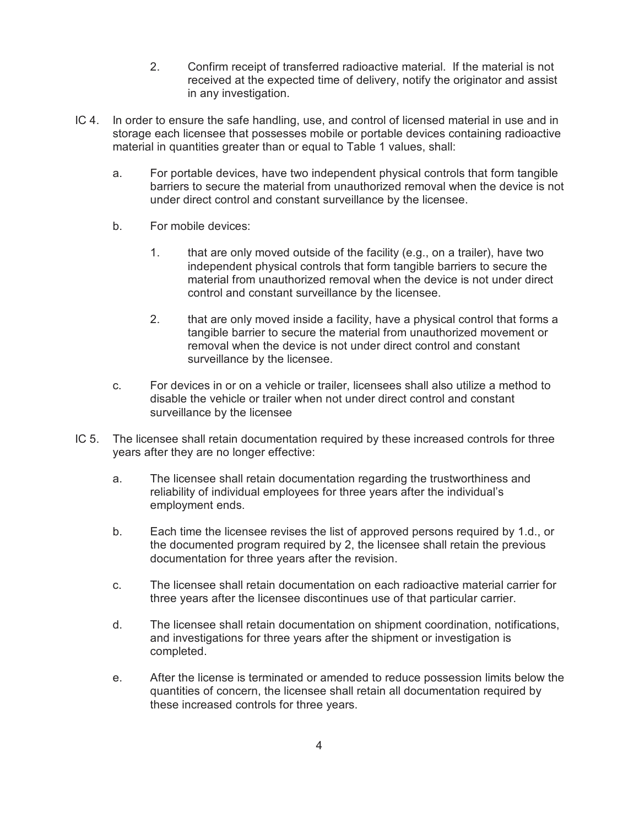- 2. Confirm receipt of transferred radioactive material. If the material is not received at the expected time of delivery, notify the originator and assist in any investigation.
- IC 4. In order to ensure the safe handling, use, and control of licensed material in use and in storage each licensee that possesses mobile or portable devices containing radioactive material in quantities greater than or equal to Table 1 values, shall:
	- a. For portable devices, have two independent physical controls that form tangible barriers to secure the material from unauthorized removal when the device is not under direct control and constant surveillance by the licensee.
	- b. For mobile devices:
		- 1. that are only moved outside of the facility (e.g., on a trailer), have two independent physical controls that form tangible barriers to secure the material from unauthorized removal when the device is not under direct control and constant surveillance by the licensee.
		- 2. that are only moved inside a facility, have a physical control that forms a tangible barrier to secure the material from unauthorized movement or removal when the device is not under direct control and constant surveillance by the licensee.
	- c. For devices in or on a vehicle or trailer, licensees shall also utilize a method to disable the vehicle or trailer when not under direct control and constant surveillance by the licensee
- IC 5. The licensee shall retain documentation required by these increased controls for three years after they are no longer effective:
	- a. The licensee shall retain documentation regarding the trustworthiness and reliability of individual employees for three years after the individual's employment ends.
	- b. Each time the licensee revises the list of approved persons required by 1.d., or the documented program required by 2, the licensee shall retain the previous documentation for three years after the revision.
	- c. The licensee shall retain documentation on each radioactive material carrier for three years after the licensee discontinues use of that particular carrier.
	- d. The licensee shall retain documentation on shipment coordination, notifications, and investigations for three years after the shipment or investigation is completed.
	- e. After the license is terminated or amended to reduce possession limits below the quantities of concern, the licensee shall retain all documentation required by these increased controls for three years.